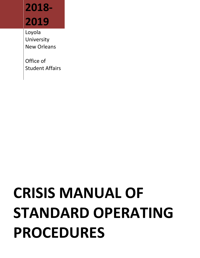# **2018- 2019**

Loyola University New Orleans

Office of Student Affairs

# **CRISIS MANUAL OF STANDARD OPERATING PROCEDURES**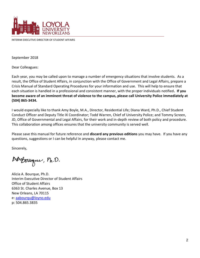

INTERIM EXECUTIVE DIRECTOR OF STUDENT AFFAIRS

September 2018

Dear Colleagues:

Each year, you may be called upon to manage a number of emergency situations that involve students. As a result, the Office of Student Affairs, in conjunction with the Office of Government and Legal Affairs, prepare a Crisis Manual of Standard Operating Procedures for your information and use. This will help to ensure that each situation is handled in a professional and consistent manner, with the proper individuals notified**. If you become aware of an imminent threat of violence to the campus, please call University Police immediately at (504) 865-3434.**

I would especially like to thank Amy Boyle, M.A., Director, Residential Life; Diana Ward, Ph.D., Chief Student Conduct Officer and Deputy Title IX Coordinator; Todd Warren, Chief of University Police; and Tommy Screen, JD, Office of Governmental and Legal Affairs, for their work and in-depth review of both policy and procedure. This collaboration among offices ensures that the university community is served well.

Please save this manual for future reference and **discard any previous editions** you may have. If you have any questions, suggestions or I can be helpful in anyway, please contact me.

Sincerely,

Ad Bourgue, Ph.D.

Alicia A. Bourque, Ph.D. Interim Executive Director of Student Affairs Office of Student Affairs 6363 St. Charles Avenue, Box 13 New Orleans, LA 70115 e: [aabourqu@loyno.edu](mailto:aabourqu@loyno.edu) p: 504.865.3835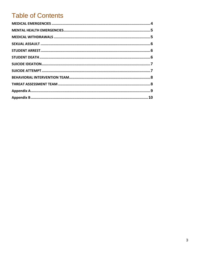# **Table of Contents**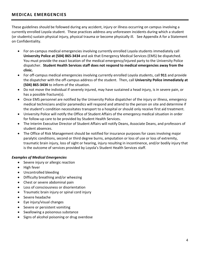# <span id="page-3-0"></span>**MED ICAL EMERGENCIES**

These guidelines should be followed during any accident, injury or illness occurring on campus involving a currently enrolled Loyola student. These practices address any unforeseen incidents during which a student (or students) sustain physical injury, physical trauma or become physically ill. See Appendix A for a Statement on Confidentiality.

- For on-campus medical emergencies involving currently enrolled Loyola students immediately call **University Police at (504) 865-3434** and ask that Emergency Medical Services (EMS) be dispatched. You must provide the exact location of the medical emergency/injured party to the University Police dispatcher. **Student Health Services staff does not respond to medical emergencies away from the clinic.**
- For off-campus medical emergencies involving currently enrolled Loyola students, call **911** and provide the dispatcher with the off-campus address of the student. Then, call **University Police immediately at (504) 865-3434** to inform of the situation.
- Do not move the individual if severely injured, may have sustained a head injury, is in severe pain, or has a possible fracture(s).
- Once EMS personnel are notified by the University Police dispatcher of the injury or illness, emergency medical technicians and/or paramedics will respond and attend to the person on site and determine if the student's condition necessitates transport to a hospital or should only receive first aid treatment.
- University Police will notify the Office of Student Affairs of the emergency medical situation in order for follow-up care to be provided by Student Health Services.
- The Interim Executive Director of Student Affairs will notify Deans, Associate Deans, and professors of student absences.
- The Office of Risk Management should be notified for insurance purposes for cases involving major paralytic conditions, second or third degree burns, amputation or loss of use or loss of extremity, traumatic brain injury, loss of sight or hearing, injury resulting in incontinence, and/or bodily injury that is the outcome of services provided by Loyola's Student Health Services staff.

# *Examples of Medical Emergencies*

- Severe injury or allergic reaction
- High fever
- Uncontrolled bleeding
- Difficulty breathing and/or wheezing
- Chest or severe abdominal pain
- Loss of consciousness or disorientation
- Traumatic brain injury or spinal cord injury
- Severe headache
- Eye injury/visual changes
- Severe or persistent vomiting
- Swallowing a poisonous substance
- Signs of alcohol poisoning or drug overdose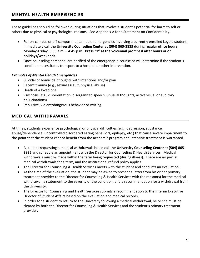<span id="page-4-0"></span>These guidelines should be followed during situations that involve a student's potential for harm to self or others due to physical or psychological reasons. See Appendix A for a Statement on Confidentiality.

- For on-campus or off-campus mental health emergencies involving a currently enrolled Loyola student, immediately call the **University Counseling Center at (504) 865-3835 during regular office hours**, Monday-Friday, 8:30 a.m. – 4:45 p.m**. Press "1" at the voicemail prompt if after hours or on holidays/weekends.**
- Once counseling personnel are notified of the emergency, a counselor will determine if the student's condition necessitates transport to a hospital or other intervention.

# *Examples of Mental Health Emergencies*

- Suicidal or homicidal thoughts with intentions and/or plan
- Recent trauma (e.g., sexual assault, physical abuse)
- Death of a loved one
- Psychosis (e.g., disorientation, disorganized speech, unusual thoughts, active visual or auditory hallucinations)
- Impulsive, violent/dangerous behavior or writing

# <span id="page-4-1"></span>**MED ICAL WITHDRAWALS**

At times, students experience psychological or physical difficulties (e.g., depression, substance abuse/dependence, uncontrolled disordered eating behaviors, epilepsy, etc.) that cause severe impairment to the point that the student cannot benefit from the academic program and intensive treatment is warranted.

- A student requesting a medical withdrawal should call the **University Counseling Center at (504) 865- 3835** and schedule an appointment with the Director for Counseling & Health Services. Medical withdrawals must be made within the term being requested (during illness). There are no partial medical withdrawals for a term, and the institutional refund policy applies.
- The Director for Counseling & Health Services meets with the student and conducts an evaluation.
- At the time of the evaluation, the student may be asked to present a letter from his or her primary treatment provider to the Director for Counseling & Health Services with the reason(s) for the medical withdrawal, a statement to the severity of the condition, and a recommendation for a withdrawal from the University.
- The Director for Counseling and Health Services submits a recommendation to the Interim Executive Director of Student Affairs based on the evaluation and medical records.
- In order for a student to return to the University following a medical withdrawal, he or she must be cleared by both the Director for Counseling & Health Services and the student's primary treatment provider.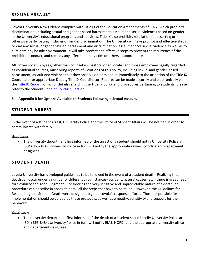# <span id="page-5-0"></span>**SEXUAL ASSAULT**

Loyola University New Orleans complies with Title IX of the Education Amendments of 1972, which prohibits discrimination (including sexual and gender based harassment, assault and sexual violence) based on gender in the University's educational programs and activities. Title IX also prohibits retaliation for asserting or otherwise participating in claims of gender discrimination. The University will take prompt and effective steps to end any sexual or gender-based harassment and discrimination, assault and/or sexual violence as well as to eliminate any hostile environment. It will take prompt and effective steps to prevent the recurrence of the prohibited conduct, and remedy any effects on the victim or others as appropriate.

All University employees, other than counselors, pastors, or advocates and those employees legally regarded as confidential sources, must bring reports of violations of this policy, including sexual and gender-based harassment, assault and violence that they observe or learn about, immediately to the attention of the Title IX Coordinator or appropriate Deputy Title IX Coordinator. Reports can be made securely and electronically via the [Title IX Report Form.](https://cm.maxient.com/reportingform.php?LoyolaUnivNO&layout_id=8) For details regarding the Title IX policy and procedures pertaining to students, please refer to the Student [Code of Conduct, Section 5.](http://studentaffairs.loyno.edu/sites/studentaffairs.loyno.edu/files/Loyola%20New%20Orleans%20Code%20-%20Section%205_0.pdf)

### <span id="page-5-1"></span>**See Appendix B for Options Available to Students Following a Sexual Assault.**

# **STUD ENT ARREST**

In the event of a student arrest, University Police and the Office of Student Affairs will be notified in order to communicate with family.

### *Guidelines*

 The university department first informed of the arrest of a student should notify University Police at (504) 865-3434. University Police in turn will notify the appropriate university office and department designees.

# <span id="page-5-2"></span>**STUD ENT DEATH**

Loyola University has developed guidelines to be followed in the event of a student death. Realizing that death can occur under a number of different circumstances (accident, natural causes, etc.) there is great need for flexibility and good judgment. Considering the very sensitive and unpredictable nature of a death, no procedure can describe in absolute detail all the steps that have to be taken. However, the Guidelines for Responding to a Student Death were designed to guide Loyola's response efforts. Those responsible for implementation should be guided by these protocols, as well as empathy, sensitivity and support for the bereaved.

#### *Guidelines*

 The university department first informed of the death of a student should notify University Police at (504) 865-3434. University Police in turn will notify EMS, NOPD, and the appropriate university office and department designees.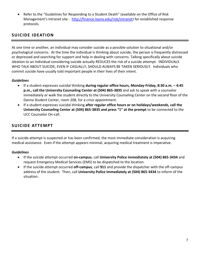Refer to the "Guidelines for Responding to a Student Death" (available on the Office of Risk Management's Intranet site - [http://finance.loyno.edu/risk/intranet\)](http://finance.loyno.edu/risk/intranet) for established response protocols.

# <span id="page-6-0"></span>**SUICIDE IDEATION**

At one time or another, an individual may consider suicide as a possible solution to situational and/or psychological concerns. At the time the individual is thinking about suicide, the person is frequently distressed or depressed and searching for support and help in dealing with concerns. Talking specifically about suicide ideation to an individual considering suicide actually REDUCES the risk of a suicide attempt. INDIVIDUALS WHO TALK ABOUT SUICIDE, EVEN IF CASUALLY, SHOULD ALWAYS BE TAKEN SERIOUSLY. Individuals who commit suicide have usually told important people in their lives of their intent.

# *Guidelines*

- If a student expresses suicidal thinking **during regular office hours, Monday-Friday, 8:30 a.m. – 4:45 p.m., call the University Counseling Center at (504) 865-3835** and ask to speak with a counselor immediately or walk the student directly to the University Counseling Center on the second floor of the Danna Student Center, room 208, for a crisis appointment.
- If a student expresses suicidal thinking **after regular office hours or on holidays/weekends, call the University Counseling Center at (504) 865-3835 and press "1" at the prompt** to be connected to the UCC Counselor On-call.

# <span id="page-6-1"></span>**SUICIDE ATTEMPT**

If a suicide attempt is suspected or has been confirmed, the most immediate consideration is acquiring medical assistance. Even if the attempt appears minimal, acquiring medical treatment is imperative.

# *Guidelines*

- If the suicide attempt occurred **on-campus**, call **University Police immediately at (504) 865-3434** and request Emergency Medical Services (EMS) to be dispatched to the location.
- <span id="page-6-2"></span> If the suicide attempt occurred **off-campus**, call **911** and provide the dispatcher with the off-campus address of the student. Then, call **University Police immediately at (504) 865-3434** to inform of the situation.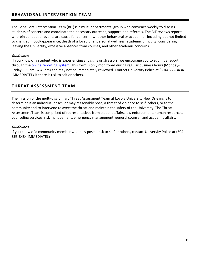# **BEHAVIORAL INTERVENTION TEAM**

The Behavioral Intervention Team (BIT) is a multi-departmental group who convenes weekly to discuss students of concern and coordinate the necessary outreach, support, and referrals. The BIT reviews reports wherein conduct or events are cause for concern - whether behavioral or academic - including but not limited to changed mood/appearance, death of a loved one, personal wellness, academic difficulty, considering leaving the University, excessive absences from courses, and other academic concerns.

## *Guidelines*

If you know of a student who is experiencing any signs or stressors, we encourage you to submit a report through the [online reporting system.](https://cm.maxient.com/reportingform.php?LoyolaUnivNO&layout_id=2) This form is only monitored during regular business hours (Monday-Friday 8:30am - 4:45pm) and may not be immediately reviewed. Contact University Police at (504) 865-3434 IMMEDIATELY if there is risk to self or others.

# <span id="page-7-0"></span>**THREAT ASSESSMENT TEAM**

The mission of the multi-disciplinary Threat Assessment Team at Loyola University New Orleans is to determine if an individual poses, or may reasonably pose, a threat of violence to self, others, or to the community and to intervene to avert the threat and maintain the safety of the University. The Threat Assessment Team is comprised of representatives from student affairs, law enforcement, human resources, counseling services, risk management, emergency management, general counsel, and academic affairs.

### *Guidelines*

If you know of a community member who may pose a risk to self or others, contact University Police at (504) 865-3434 IMMEDIATELY.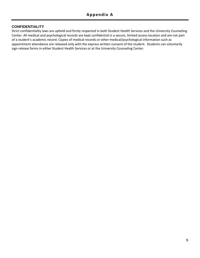# <span id="page-8-0"></span>**CONFIDENTIALITY**

Strict confidentiality laws are upheld and firmly respected in both Student Health Services and the University Counseling Center. All medical and psychological records are kept confidential in a secure, limited access location and are not part of a student's academic record. Copies of medical records or other medical/psychological information such as appointment attendance are released only with the express written consent of the student. Students can voluntarily sign release forms in either Student Health Services or at the University Counseling Center.